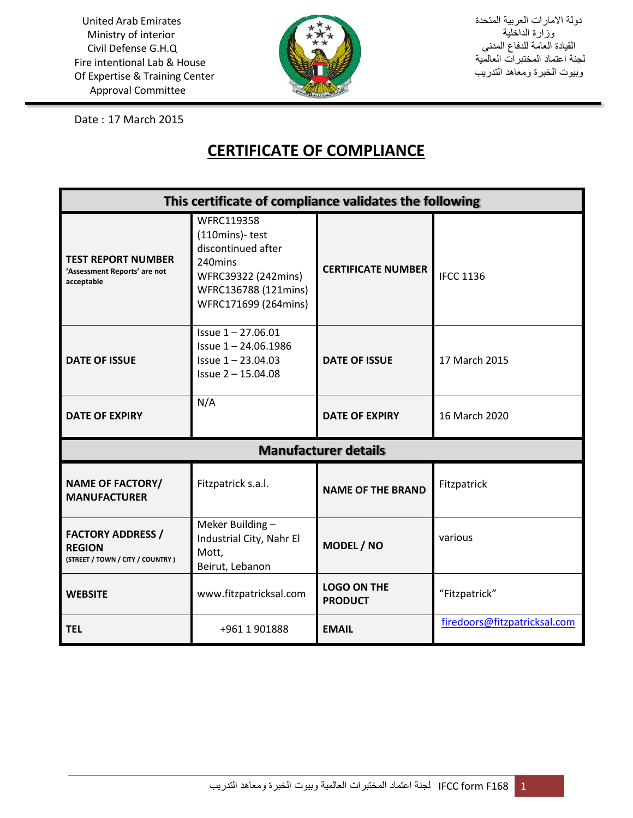

دولة االمارات العربية المتحدة وزارة الداخلية القيادة العامة للدفاع المدني لجنة اعتماد المختبرات العالمية وبيوت الخبرة ومعاهد التدريب

Date : 17 March 2015

## **CERTIFICATE OF COMPLIANCE**

| This certificate of compliance validates the following                        |                                                                                                                                             |                                      |                              |
|-------------------------------------------------------------------------------|---------------------------------------------------------------------------------------------------------------------------------------------|--------------------------------------|------------------------------|
| <b>TEST REPORT NUMBER</b><br>'Assessment Reports' are not<br>acceptable       | <b>WFRC119358</b><br>(110mins)-test<br>discontinued after<br>240mins<br>WFRC39322 (242mins)<br>WFRC136788 (121mins)<br>WFRC171699 (264mins) | <b>CERTIFICATE NUMBER</b>            | <b>IFCC 1136</b>             |
| <b>DATE OF ISSUE</b>                                                          | Issue 1-27.06.01<br>$Is sue 1 - 24.06.1986$<br>Issue 1-23.04.03<br>Issue 2 - 15.04.08                                                       | <b>DATE OF ISSUE</b>                 | 17 March 2015                |
| <b>DATE OF EXPIRY</b>                                                         | N/A                                                                                                                                         | <b>DATE OF EXPIRY</b>                | 16 March 2020                |
| <b>Manufacturer details</b>                                                   |                                                                                                                                             |                                      |                              |
| <b>NAME OF FACTORY/</b><br><b>MANUFACTURER</b>                                | Fitzpatrick s.a.l.                                                                                                                          | <b>NAME OF THE BRAND</b>             | Fitzpatrick                  |
| <b>FACTORY ADDRESS /</b><br><b>REGION</b><br>(STREET / TOWN / CITY / COUNTRY) | Meker Building -<br>Industrial City, Nahr El<br>Mott,<br>Beirut, Lebanon                                                                    | MODEL / NO                           | various                      |
| <b>WEBSITE</b>                                                                | www.fitzpatricksal.com                                                                                                                      | <b>LOGO ON THE</b><br><b>PRODUCT</b> | "Fitzpatrick"                |
| <b>TEL</b>                                                                    | +961 1 901888                                                                                                                               | <b>EMAIL</b>                         | firedoors@fitzpatricksal.com |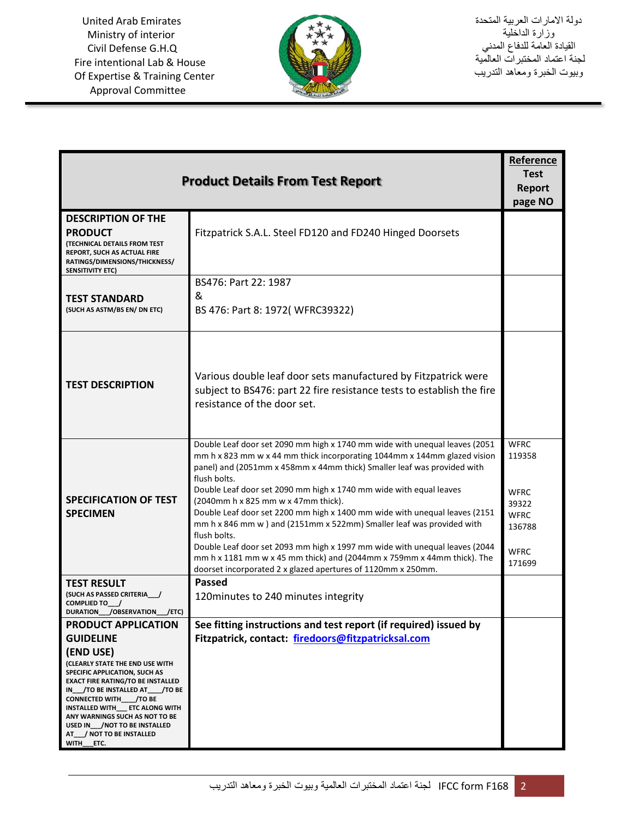

| <b>Product Details From Test Report</b>                          |                                                                                                                                                     |                       |
|------------------------------------------------------------------|-----------------------------------------------------------------------------------------------------------------------------------------------------|-----------------------|
|                                                                  |                                                                                                                                                     |                       |
|                                                                  |                                                                                                                                                     | page NO               |
| <b>DESCRIPTION OF THE</b>                                        |                                                                                                                                                     |                       |
| <b>PRODUCT</b><br><b>(TECHNICAL DETAILS FROM TEST</b>            | Fitzpatrick S.A.L. Steel FD120 and FD240 Hinged Doorsets                                                                                            |                       |
| REPORT, SUCH AS ACTUAL FIRE                                      |                                                                                                                                                     |                       |
| RATINGS/DIMENSIONS/THICKNESS/<br><b>SENSITIVITY ETC)</b>         |                                                                                                                                                     |                       |
|                                                                  | BS476: Part 22: 1987                                                                                                                                |                       |
| <b>TEST STANDARD</b>                                             | &                                                                                                                                                   |                       |
| (SUCH AS ASTM/BS EN/ DN ETC)                                     | BS 476: Part 8: 1972(WFRC39322)                                                                                                                     |                       |
|                                                                  |                                                                                                                                                     |                       |
|                                                                  |                                                                                                                                                     |                       |
|                                                                  |                                                                                                                                                     |                       |
| <b>TEST DESCRIPTION</b>                                          | Various double leaf door sets manufactured by Fitzpatrick were                                                                                      |                       |
|                                                                  | subject to BS476: part 22 fire resistance tests to establish the fire                                                                               |                       |
|                                                                  | resistance of the door set.                                                                                                                         |                       |
|                                                                  |                                                                                                                                                     |                       |
|                                                                  | Double Leaf door set 2090 mm high x 1740 mm wide with unequal leaves (2051                                                                          | <b>WFRC</b>           |
|                                                                  | mm h x 823 mm w x 44 mm thick incorporating 1044mm x 144mm glazed vision                                                                            | 119358                |
|                                                                  | panel) and (2051mm x 458mm x 44mm thick) Smaller leaf was provided with<br>flush bolts.                                                             |                       |
|                                                                  | Double Leaf door set 2090 mm high x 1740 mm wide with equal leaves                                                                                  | <b>WFRC</b>           |
| <b>SPECIFICATION OF TEST</b>                                     | (2040mm h x 825 mm w x 47mm thick).                                                                                                                 | 39322                 |
| <b>SPECIMEN</b>                                                  | Double Leaf door set 2200 mm high x 1400 mm wide with unequal leaves (2151<br>mm h x 846 mm w ) and (2151mm x 522mm) Smaller leaf was provided with | <b>WFRC</b><br>136788 |
|                                                                  | flush bolts.                                                                                                                                        |                       |
|                                                                  | Double Leaf door set 2093 mm high x 1997 mm wide with unequal leaves (2044                                                                          | <b>WFRC</b>           |
|                                                                  | mm h x 1181 mm w x 45 mm thick) and (2044mm x 759mm x 44mm thick). The<br>doorset incorporated 2 x glazed apertures of 1120mm x 250mm.              | 171699                |
| <b>TEST RESULT</b>                                               | <b>Passed</b>                                                                                                                                       |                       |
| (SUCH AS PASSED CRITERIA /                                       | 120 minutes to 240 minutes integrity                                                                                                                |                       |
| COMPLIED TO /<br>DURATION_/OBSERVATION_/ETC)                     |                                                                                                                                                     |                       |
| <b>PRODUCT APPLICATION</b>                                       | See fitting instructions and test report (if required) issued by                                                                                    |                       |
| <b>GUIDELINE</b>                                                 | Fitzpatrick, contact: firedoors@fitzpatricksal.com                                                                                                  |                       |
| (END USE)                                                        |                                                                                                                                                     |                       |
| (CLEARLY STATE THE END USE WITH<br>SPECIFIC APPLICATION, SUCH AS |                                                                                                                                                     |                       |
| <b>EXACT FIRE RATING/TO BE INSTALLED</b>                         |                                                                                                                                                     |                       |
| IN_/TO BE INSTALLED AT__/TO BE<br>CONNECTED WITH_/TO BE          |                                                                                                                                                     |                       |
| INSTALLED WITH ETC ALONG WITH<br>ANY WARNINGS SUCH AS NOT TO BE  |                                                                                                                                                     |                       |
| USED IN / NOT TO BE INSTALLED                                    |                                                                                                                                                     |                       |
| AT_/NOT TO BE INSTALLED<br>WITH ETC.                             |                                                                                                                                                     |                       |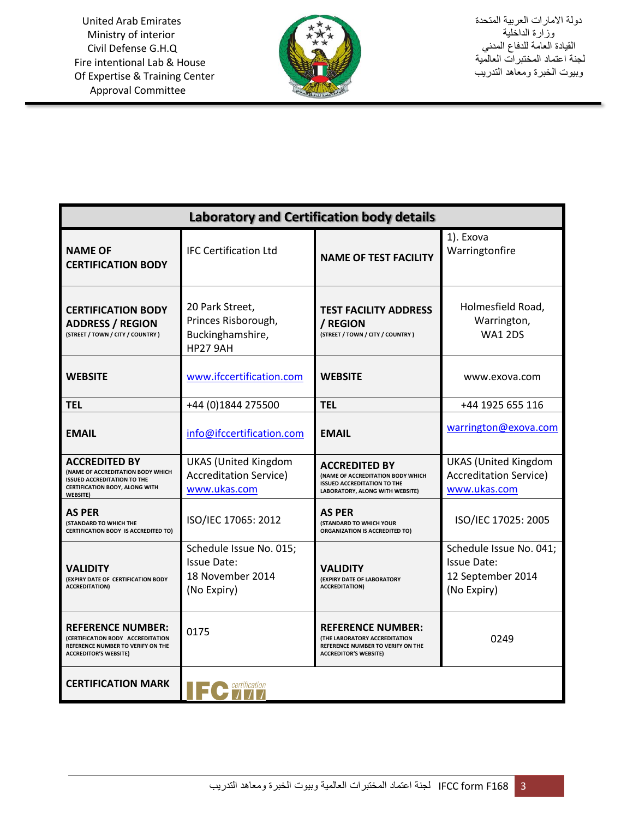

| <b>Laboratory and Certification body details</b>                                                                                                                   |                                                                                  |                                                                                                                                       |                                                                                   |
|--------------------------------------------------------------------------------------------------------------------------------------------------------------------|----------------------------------------------------------------------------------|---------------------------------------------------------------------------------------------------------------------------------------|-----------------------------------------------------------------------------------|
| <b>NAME OF</b><br><b>CERTIFICATION BODY</b>                                                                                                                        | <b>IFC Certification Ltd</b>                                                     | <b>NAME OF TEST FACILITY</b>                                                                                                          | 1). Exova<br>Warringtonfire                                                       |
| <b>CERTIFICATION BODY</b><br><b>ADDRESS / REGION</b><br>(STREET / TOWN / CITY / COUNTRY)                                                                           | 20 Park Street,<br>Princes Risborough,<br>Buckinghamshire,<br><b>HP27 9AH</b>    | <b>TEST FACILITY ADDRESS</b><br>/ REGION<br>(STREET / TOWN / CITY / COUNTRY )                                                         | Holmesfield Road,<br>Warrington,<br><b>WA1 2DS</b>                                |
| <b>WEBSITE</b>                                                                                                                                                     | www.ifccertification.com                                                         | <b>WEBSITE</b>                                                                                                                        | www.exova.com                                                                     |
| <b>TEL</b>                                                                                                                                                         | +44 (0)1844 275500                                                               | <b>TEL</b>                                                                                                                            | +44 1925 655 116                                                                  |
| <b>EMAIL</b>                                                                                                                                                       | info@ifccertification.com                                                        | <b>EMAIL</b>                                                                                                                          | warrington@exova.com                                                              |
| <b>ACCREDITED BY</b><br><b>(NAME OF ACCREDITATION BODY WHICH</b><br><b>ISSUED ACCREDITATION TO THE</b><br><b>CERTIFICATION BODY, ALONG WITH</b><br><b>WEBSITE)</b> | <b>UKAS (United Kingdom</b><br><b>Accreditation Service)</b><br>www.ukas.com     | <b>ACCREDITED BY</b><br>(NAME OF ACCREDITATION BODY WHICH<br><b>ISSUED ACCREDITATION TO THE</b><br>LABORATORY, ALONG WITH WEBSITE)    | <b>UKAS (United Kingdom</b><br><b>Accreditation Service)</b><br>www.ukas.com      |
| AS PER<br>(STANDARD TO WHICH THE<br><b>CERTIFICATION BODY IS ACCREDITED TO)</b>                                                                                    | ISO/IEC 17065: 2012                                                              | <b>AS PER</b><br><b>(STANDARD TO WHICH YOUR</b><br><b>ORGANIZATION IS ACCREDITED TO)</b>                                              | ISO/IEC 17025: 2005                                                               |
| <b>VALIDITY</b><br>(EXPIRY DATE OF CERTIFICATION BODY<br><b>ACCREDITATION)</b>                                                                                     | Schedule Issue No. 015;<br><b>Issue Date:</b><br>18 November 2014<br>(No Expiry) | VALIDITY<br>(EXPIRY DATE OF LABORATORY<br><b>ACCREDITATION)</b>                                                                       | Schedule Issue No. 041;<br><b>Issue Date:</b><br>12 September 2014<br>(No Expiry) |
| <b>REFERENCE NUMBER:</b><br>(CERTIFICATION BODY ACCREDITATION<br>REFERENCE NUMBER TO VERIFY ON THE<br><b>ACCREDITOR'S WEBSITE)</b>                                 | 0175                                                                             | <b>REFERENCE NUMBER:</b><br><b>(THE LABORATORY ACCREDITATION</b><br>REFERENCE NUMBER TO VERIFY ON THE<br><b>ACCREDITOR'S WEBSITE)</b> | 0249                                                                              |
| <b>CERTIFICATION MARK</b>                                                                                                                                          |                                                                                  |                                                                                                                                       |                                                                                   |